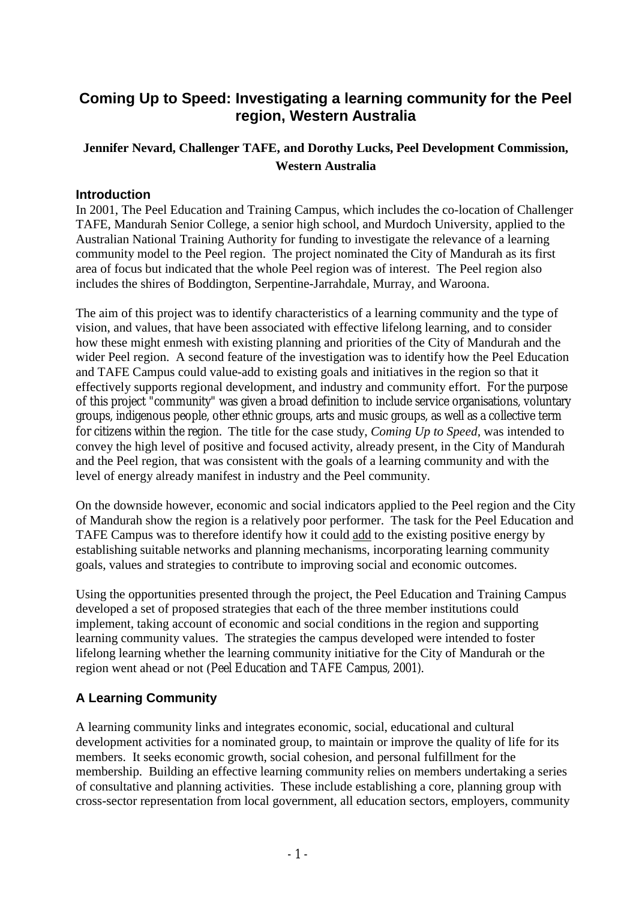# **Coming Up to Speed: Investigating a learning community for the Peel region, Western Australia**

# **Jennifer Nevard, Challenger TAFE, and Dorothy Lucks, Peel Development Commission, Western Australia**

## **Introduction**

In 2001, The Peel Education and Training Campus, which includes the co-location of Challenger TAFE, Mandurah Senior College, a senior high school, and Murdoch University, applied to the Australian National Training Authority for funding to investigate the relevance of a learning community model to the Peel region. The project nominated the City of Mandurah as its first area of focus but indicated that the whole Peel region was of interest. The Peel region also includes the shires of Boddington, Serpentine-Jarrahdale, Murray, and Waroona.

The aim of this project was to identify characteristics of a learning community and the type of vision, and values, that have been associated with effective lifelong learning, and to consider how these might enmesh with existing planning and priorities of the City of Mandurah and the wider Peel region. A second feature of the investigation was to identify how the Peel Education and TAFE Campus could value-add to existing goals and initiatives in the region so that it effectively supports regional development, and industry and community effort. For the purpose of this project "community" was given a broad definition to include service organisations, voluntary groups, indigenous people, other ethnic groups, arts and music groups, as well as a collective term for citizens within the region. The title for the case study, *Coming Up to Speed,* was intended to convey the high level of positive and focused activity, already present, in the City of Mandurah and the Peel region, that was consistent with the goals of a learning community and with the level of energy already manifest in industry and the Peel community.

On the downside however, economic and social indicators applied to the Peel region and the City of Mandurah show the region is a relatively poor performer. The task for the Peel Education and TAFE Campus was to therefore identify how it could add to the existing positive energy by establishing suitable networks and planning mechanisms, incorporating learning community goals, values and strategies to contribute to improving social and economic outcomes.

Using the opportunities presented through the project, the Peel Education and Training Campus developed a set of proposed strategies that each of the three member institutions could implement, taking account of economic and social conditions in the region and supporting learning community values. The strategies the campus developed were intended to foster lifelong learning whether the learning community initiative for the City of Mandurah or the region went ahead or not (Peel Education and TAFE Campus, 2001).

# **A Learning Community**

A learning community links and integrates economic, social, educational and cultural development activities for a nominated group, to maintain or improve the quality of life for its members. It seeks economic growth, social cohesion, and personal fulfillment for the membership. Building an effective learning community relies on members undertaking a series of consultative and planning activities. These include establishing a core, planning group with cross-sector representation from local government, all education sectors, employers, community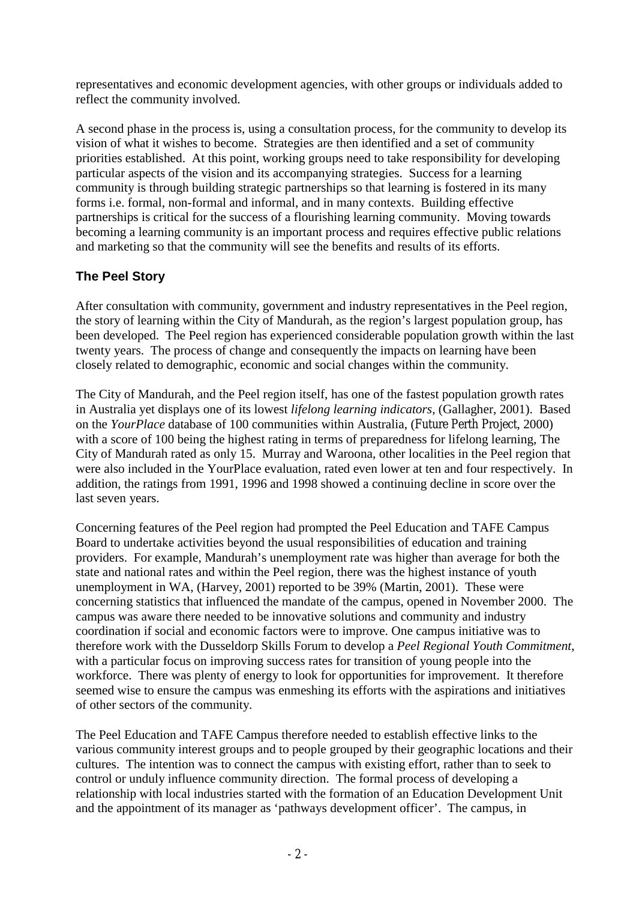representatives and economic development agencies, with other groups or individuals added to reflect the community involved.

A second phase in the process is, using a consultation process, for the community to develop its vision of what it wishes to become. Strategies are then identified and a set of community priorities established. At this point, working groups need to take responsibility for developing particular aspects of the vision and its accompanying strategies. Success for a learning community is through building strategic partnerships so that learning is fostered in its many forms i.e. formal, non-formal and informal, and in many contexts. Building effective partnerships is critical for the success of a flourishing learning community. Moving towards becoming a learning community is an important process and requires effective public relations and marketing so that the community will see the benefits and results of its efforts.

# **The Peel Story**

After consultation with community, government and industry representatives in the Peel region, the story of learning within the City of Mandurah, as the region's largest population group, has been developed. The Peel region has experienced considerable population growth within the last twenty years. The process of change and consequently the impacts on learning have been closely related to demographic, economic and social changes within the community.

The City of Mandurah, and the Peel region itself, has one of the fastest population growth rates in Australia yet displays one of its lowest *lifelong learning indicators*, (Gallagher, 2001). Based on the *YourPlace* database of 100 communities within Australia, (Future Perth Project, 2000) with a score of 100 being the highest rating in terms of preparedness for lifelong learning, The City of Mandurah rated as only 15. Murray and Waroona, other localities in the Peel region that were also included in the YourPlace evaluation, rated even lower at ten and four respectively. In addition, the ratings from 1991, 1996 and 1998 showed a continuing decline in score over the last seven years.

Concerning features of the Peel region had prompted the Peel Education and TAFE Campus Board to undertake activities beyond the usual responsibilities of education and training providers. For example, Mandurah's unemployment rate was higher than average for both the state and national rates and within the Peel region, there was the highest instance of youth unemployment in WA, (Harvey, 2001) reported to be 39% (Martin, 2001). These were concerning statistics that influenced the mandate of the campus, opened in November 2000. The campus was aware there needed to be innovative solutions and community and industry coordination if social and economic factors were to improve. One campus initiative was to therefore work with the Dusseldorp Skills Forum to develop a *Peel Regional Youth Commitment*, with a particular focus on improving success rates for transition of young people into the workforce. There was plenty of energy to look for opportunities for improvement. It therefore seemed wise to ensure the campus was enmeshing its efforts with the aspirations and initiatives of other sectors of the community.

The Peel Education and TAFE Campus therefore needed to establish effective links to the various community interest groups and to people grouped by their geographic locations and their cultures. The intention was to connect the campus with existing effort, rather than to seek to control or unduly influence community direction. The formal process of developing a relationship with local industries started with the formation of an Education Development Unit and the appointment of its manager as 'pathways development officer'. The campus, in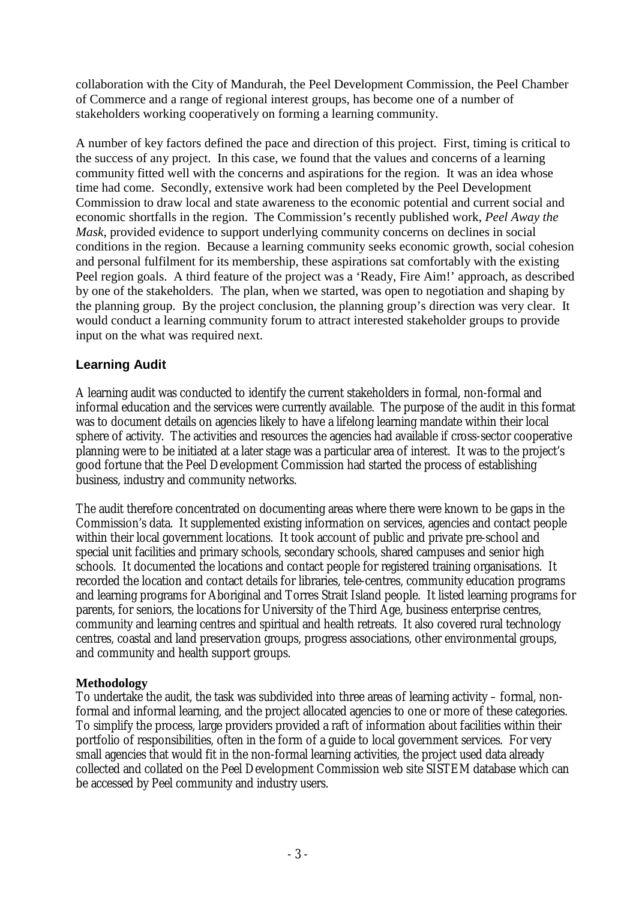collaboration with the City of Mandurah, the Peel Development Commission, the Peel Chamber of Commerce and a range of regional interest groups, has become one of a number of stakeholders working cooperatively on forming a learning community.

A number of key factors defined the pace and direction of this project. First, timing is critical to the success of any project. In this case, we found that the values and concerns of a learning community fitted well with the concerns and aspirations for the region. It was an idea whose time had come. Secondly, extensive work had been completed by the Peel Development Commission to draw local and state awareness to the economic potential and current social and economic shortfalls in the region. The Commission's recently published work, *Peel Away the Mask*, provided evidence to support underlying community concerns on declines in social conditions in the region. Because a learning community seeks economic growth, social cohesion and personal fulfilment for its membership, these aspirations sat comfortably with the existing Peel region goals. A third feature of the project was a 'Ready, Fire Aim!' approach, as described by one of the stakeholders. The plan, when we started, was open to negotiation and shaping by the planning group. By the project conclusion, the planning group's direction was very clear. It would conduct a learning community forum to attract interested stakeholder groups to provide input on the what was required next.

## **Learning Audit**

A learning audit was conducted to identify the current stakeholders in formal, non-formal and informal education and the services were currently available. The purpose of the audit in this format was to document details on agencies likely to have a lifelong learning mandate within their local sphere of activity. The activities and resources the agencies had available if cross-sector cooperative planning were to be initiated at a later stage was a particular area of interest. It was to the project's good fortune that the Peel Development Commission had started the process of establishing business, industry and community networks.

The audit therefore concentrated on documenting areas where there were known to be gaps in the Commission's data. It supplemented existing information on services, agencies and contact people within their local government locations. It took account of public and private pre-school and special unit facilities and primary schools, secondary schools, shared campuses and senior high schools. It documented the locations and contact people for registered training organisations. It recorded the location and contact details for libraries, tele-centres, community education programs and learning programs for Aboriginal and Torres Strait Island people. It listed learning programs for parents, for seniors, the locations for University of the Third Age, business enterprise centres, community and learning centres and spiritual and health retreats. It also covered rural technology centres, coastal and land preservation groups, progress associations, other environmental groups, and community and health support groups.

## **Methodology**

To undertake the audit, the task was subdivided into three areas of learning activity – formal, nonformal and informal learning, and the project allocated agencies to one or more of these categories. To simplify the process, large providers provided a raft of information about facilities within their portfolio of responsibilities, often in the form of a guide to local government services. For very small agencies that would fit in the non-formal learning activities, the project used data already collected and collated on the Peel Development Commission web site SISTEM database which can be accessed by Peel community and industry users.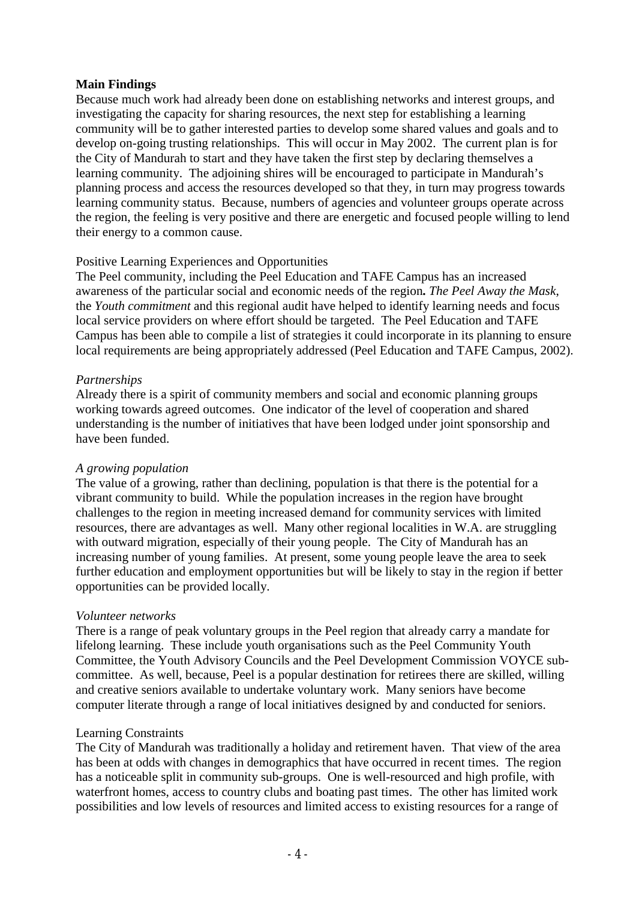#### **Main Findings**

Because much work had already been done on establishing networks and interest groups, and investigating the capacity for sharing resources, the next step for establishing a learning community will be to gather interested parties to develop some shared values and goals and to develop on-going trusting relationships. This will occur in May 2002. The current plan is for the City of Mandurah to start and they have taken the first step by declaring themselves a learning community. The adjoining shires will be encouraged to participate in Mandurah's planning process and access the resources developed so that they, in turn may progress towards learning community status. Because, numbers of agencies and volunteer groups operate across the region, the feeling is very positive and there are energetic and focused people willing to lend their energy to a common cause.

#### Positive Learning Experiences and Opportunities

The Peel community, including the Peel Education and TAFE Campus has an increased awareness of the particular social and economic needs of the region**.** *The Peel Away the Mask*, the *Youth commitment* and this regional audit have helped to identify learning needs and focus local service providers on where effort should be targeted. The Peel Education and TAFE Campus has been able to compile a list of strategies it could incorporate in its planning to ensure local requirements are being appropriately addressed (Peel Education and TAFE Campus, 2002).

#### *Partnerships*

Already there is a spirit of community members and social and economic planning groups working towards agreed outcomes. One indicator of the level of cooperation and shared understanding is the number of initiatives that have been lodged under joint sponsorship and have been funded.

## *A growing population*

The value of a growing, rather than declining, population is that there is the potential for a vibrant community to build. While the population increases in the region have brought challenges to the region in meeting increased demand for community services with limited resources, there are advantages as well. Many other regional localities in W.A. are struggling with outward migration, especially of their young people. The City of Mandurah has an increasing number of young families. At present, some young people leave the area to seek further education and employment opportunities but will be likely to stay in the region if better opportunities can be provided locally.

## *Volunteer networks*

There is a range of peak voluntary groups in the Peel region that already carry a mandate for lifelong learning. These include youth organisations such as the Peel Community Youth Committee, the Youth Advisory Councils and the Peel Development Commission VOYCE subcommittee. As well, because, Peel is a popular destination for retirees there are skilled, willing and creative seniors available to undertake voluntary work. Many seniors have become computer literate through a range of local initiatives designed by and conducted for seniors.

## Learning Constraints

The City of Mandurah was traditionally a holiday and retirement haven. That view of the area has been at odds with changes in demographics that have occurred in recent times. The region has a noticeable split in community sub-groups. One is well-resourced and high profile, with waterfront homes, access to country clubs and boating past times. The other has limited work possibilities and low levels of resources and limited access to existing resources for a range of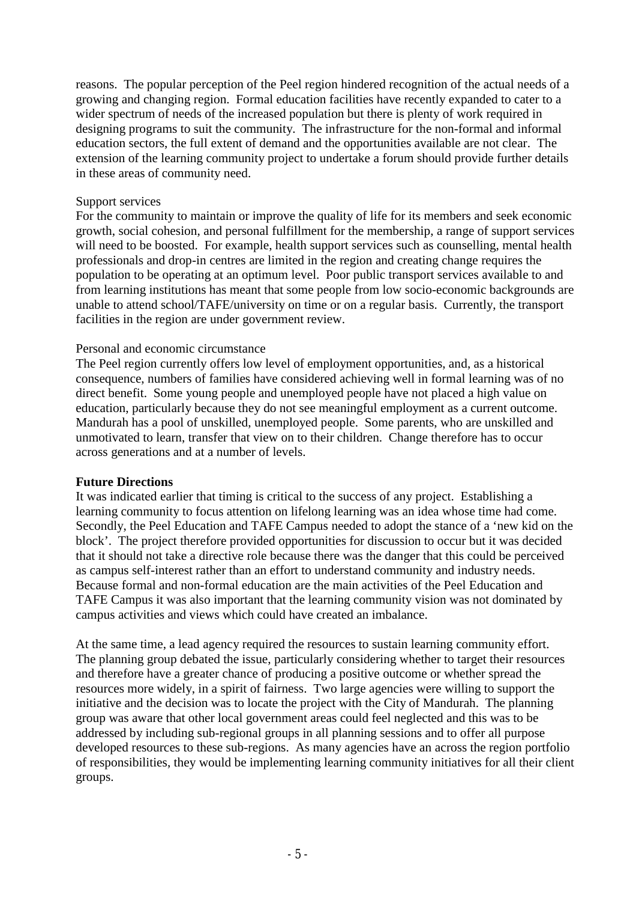reasons. The popular perception of the Peel region hindered recognition of the actual needs of a growing and changing region. Formal education facilities have recently expanded to cater to a wider spectrum of needs of the increased population but there is plenty of work required in designing programs to suit the community. The infrastructure for the non-formal and informal education sectors, the full extent of demand and the opportunities available are not clear. The extension of the learning community project to undertake a forum should provide further details in these areas of community need.

#### Support services

For the community to maintain or improve the quality of life for its members and seek economic growth, social cohesion, and personal fulfillment for the membership, a range of support services will need to be boosted. For example, health support services such as counselling, mental health professionals and drop-in centres are limited in the region and creating change requires the population to be operating at an optimum level. Poor public transport services available to and from learning institutions has meant that some people from low socio-economic backgrounds are unable to attend school/TAFE/university on time or on a regular basis. Currently, the transport facilities in the region are under government review.

## Personal and economic circumstance

The Peel region currently offers low level of employment opportunities, and, as a historical consequence, numbers of families have considered achieving well in formal learning was of no direct benefit. Some young people and unemployed people have not placed a high value on education, particularly because they do not see meaningful employment as a current outcome. Mandurah has a pool of unskilled, unemployed people. Some parents, who are unskilled and unmotivated to learn, transfer that view on to their children. Change therefore has to occur across generations and at a number of levels.

#### **Future Directions**

It was indicated earlier that timing is critical to the success of any project. Establishing a learning community to focus attention on lifelong learning was an idea whose time had come. Secondly, the Peel Education and TAFE Campus needed to adopt the stance of a 'new kid on the block'. The project therefore provided opportunities for discussion to occur but it was decided that it should not take a directive role because there was the danger that this could be perceived as campus self-interest rather than an effort to understand community and industry needs. Because formal and non-formal education are the main activities of the Peel Education and TAFE Campus it was also important that the learning community vision was not dominated by campus activities and views which could have created an imbalance.

At the same time, a lead agency required the resources to sustain learning community effort. The planning group debated the issue, particularly considering whether to target their resources and therefore have a greater chance of producing a positive outcome or whether spread the resources more widely, in a spirit of fairness. Two large agencies were willing to support the initiative and the decision was to locate the project with the City of Mandurah. The planning group was aware that other local government areas could feel neglected and this was to be addressed by including sub-regional groups in all planning sessions and to offer all purpose developed resources to these sub-regions. As many agencies have an across the region portfolio of responsibilities, they would be implementing learning community initiatives for all their client groups.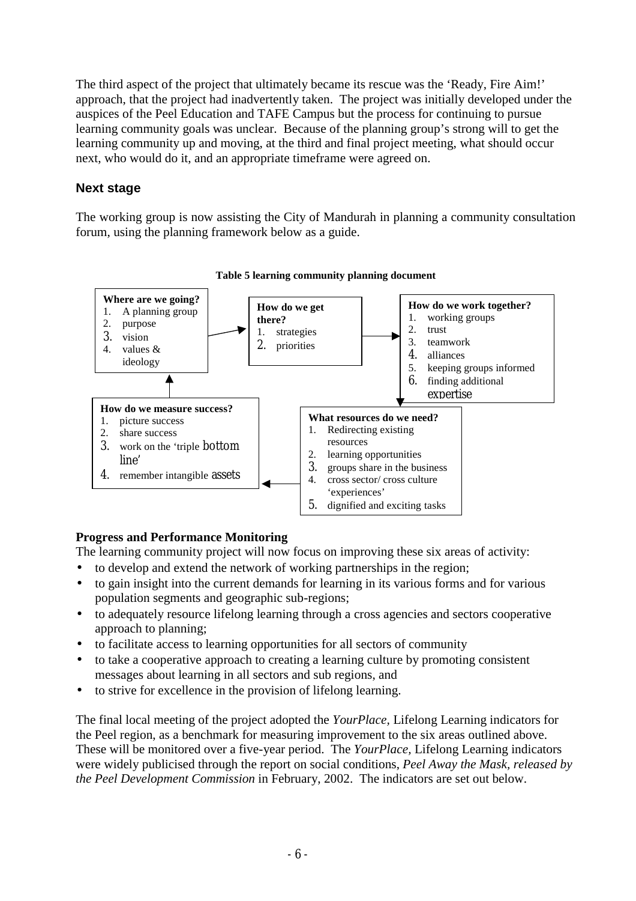The third aspect of the project that ultimately became its rescue was the 'Ready, Fire Aim!' approach, that the project had inadvertently taken. The project was initially developed under the auspices of the Peel Education and TAFE Campus but the process for continuing to pursue learning community goals was unclear. Because of the planning group's strong will to get the learning community up and moving, at the third and final project meeting, what should occur next, who would do it, and an appropriate timeframe were agreed on.

## **Next stage**

The working group is now assisting the City of Mandurah in planning a community consultation forum, using the planning framework below as a guide.



# **Table 5 learning community planning document**

# **Progress and Performance Monitoring**

The learning community project will now focus on improving these six areas of activity:

- to develop and extend the network of working partnerships in the region;
- to gain insight into the current demands for learning in its various forms and for various population segments and geographic sub-regions;
- to adequately resource lifelong learning through a cross agencies and sectors cooperative approach to planning;
- to facilitate access to learning opportunities for all sectors of community
- to take a cooperative approach to creating a learning culture by promoting consistent messages about learning in all sectors and sub regions, and
- to strive for excellence in the provision of lifelong learning.

The final local meeting of the project adopted the *YourPlace,* Lifelong Learning indicators for the Peel region, as a benchmark for measuring improvement to the six areas outlined above. These will be monitored over a five-year period. The *YourPlace,* Lifelong Learning indicators were widely publicised through the report on social conditions, *Peel Away the Mask, released by the Peel Development Commission* in February, 2002. The indicators are set out below.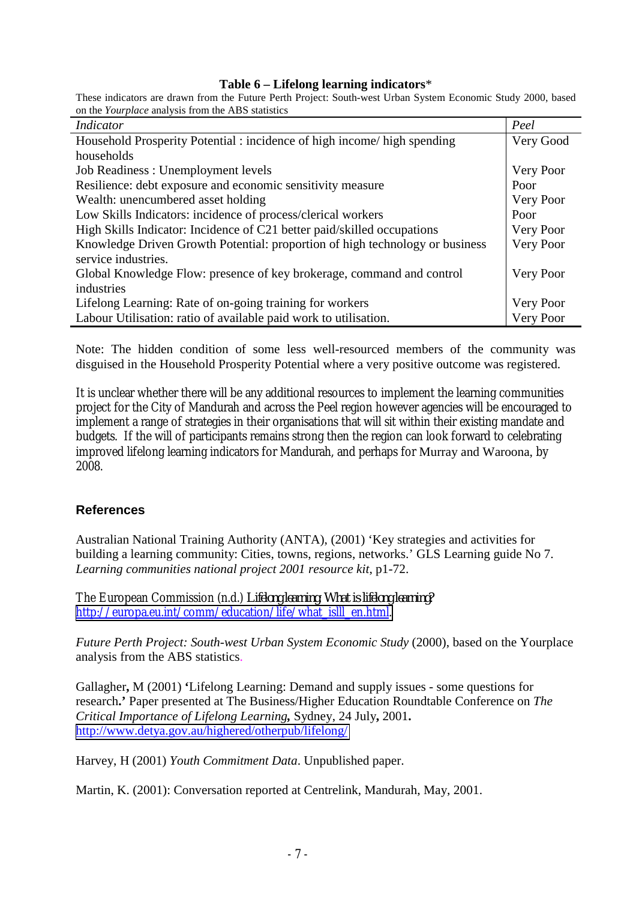#### **Table 6 – Lifelong learning indicators**\*

These indicators are drawn from the Future Perth Project: South-west Urban System Economic Study 2000, based on the *Yourplace* analysis from the ABS statistics

| <i>Indicator</i>                                                             | Peel      |
|------------------------------------------------------------------------------|-----------|
| Household Prosperity Potential : incidence of high income/ high spending     | Very Good |
| households                                                                   |           |
| Job Readiness : Unemployment levels                                          | Very Poor |
| Resilience: debt exposure and economic sensitivity measure                   | Poor      |
| Wealth: unencumbered asset holding                                           | Very Poor |
| Low Skills Indicators: incidence of process/clerical workers                 | Poor      |
| High Skills Indicator: Incidence of C21 better paid/skilled occupations      | Very Poor |
| Knowledge Driven Growth Potential: proportion of high technology or business | Very Poor |
| service industries.                                                          |           |
| Global Knowledge Flow: presence of key brokerage, command and control        | Very Poor |
| industries                                                                   |           |
| Lifelong Learning: Rate of on-going training for workers                     | Very Poor |
| Labour Utilisation: ratio of available paid work to utilisation.             | Very Poor |

Note: The hidden condition of some less well-resourced members of the community was disguised in the Household Prosperity Potential where a very positive outcome was registered.

It is unclear whether there will be any additional resources to implement the learning communities project for the City of Mandurah and across the Peel region however agencies will be encouraged to implement a range of strategies in their organisations that will sit within their existing mandate and budgets. If the will of participants remains strong then the region can look forward to celebrating improved lifelong learning indicators for Mandurah, and perhaps for Murray and Waroona, by 2008.

#### **References**

Australian National Training Authority (ANTA), (2001) 'Key strategies and activities for building a learning community: Cities, towns, regions, networks.' GLS Learning guide No 7. *Learning communities national project 2001 resource kit*, p1-72.

The European Commission (n.d.) *Lifelong learning: What is lifelong learning?* [http://europa.eu.int/comm/education/life/what\\_islll\\_en.html.](http://europa.eu.int/comm/education/life/what_islll_en.html) 

*Future Perth Project: South-west Urban System Economic Study* (2000), based on the Yourplace analysis from the ABS statistics.

Gallagher**,** M (2001) **'**Lifelong Learning: Demand and supply issues - some questions for research**.'** Paper presented at The Business/Higher Education Roundtable Conference on *The Critical Importance of Lifelong Learning,* Sydney, 24 July**,** 2001**.**  <http://www.detya.gov.au/highered/otherpub/lifelong/>

Harvey, H (2001) *Youth Commitment Data*. Unpublished paper.

Martin, K. (2001): Conversation reported at Centrelink, Mandurah, May, 2001.